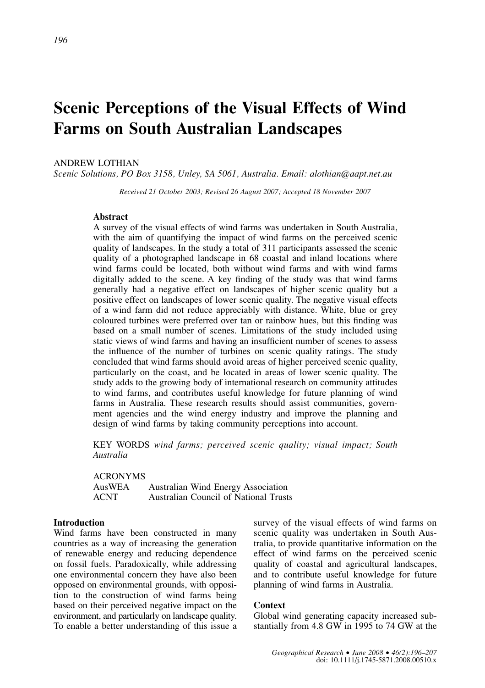# Scenic Perceptions of the Visual Effects of Wind **Farms on South Australian Landscapes**

ANDREW LOTHIAN

*Scenic Solutions, PO Box 3158, Unley, SA 5061, Australia. Email: alothian@aapt.net.au*

*Received 21 October 2003; Revised 26 August 2007; Accepted 18 November 2007*

## **Abstract**

A survey of the visual effects of wind farms was undertaken in South Australia, with the aim of quantifying the impact of wind farms on the perceived scenic quality of landscapes. In the study a total of 311 participants assessed the scenic quality of a photographed landscape in 68 coastal and inland locations where wind farms could be located, both without wind farms and with wind farms digitally added to the scene. A key finding of the study was that wind farms generally had a negative effect on landscapes of higher scenic quality but a positive effect on landscapes of lower scenic quality. The negative visual effects of a wind farm did not reduce appreciably with distance. White, blue or grey coloured turbines were preferred over tan or rainbow hues, but this finding was based on a small number of scenes. Limitations of the study included using static views of wind farms and having an insufficient number of scenes to assess the influence of the number of turbines on scenic quality ratings. The study concluded that wind farms should avoid areas of higher perceived scenic quality, particularly on the coast, and be located in areas of lower scenic quality. The study adds to the growing body of international research on community attitudes to wind farms, and contributes useful knowledge for future planning of wind farms in Australia. These research results should assist communities, government agencies and the wind energy industry and improve the planning and design of wind farms by taking community perceptions into account.

KEY WORDS *wind farms; perceived scenic quality; visual impact; South Australia*

ACRONYMS

AusWEA Australian Wind Energy Association ACNT Australian Council of National Trusts

## **Introduction**

Wind farms have been constructed in many countries as a way of increasing the generation of renewable energy and reducing dependence on fossil fuels. Paradoxically, while addressing one environmental concern they have also been opposed on environmental grounds, with opposition to the construction of wind farms being based on their perceived negative impact on the environment, and particularly on landscape quality. To enable a better understanding of this issue a

survey of the visual effects of wind farms on scenic quality was undertaken in South Australia, to provide quantitative information on the effect of wind farms on the perceived scenic quality of coastal and agricultural landscapes, and to contribute useful knowledge for future planning of wind farms in Australia.

## **Context**

Global wind generating capacity increased substantially from 4.8 GW in 1995 to 74 GW at the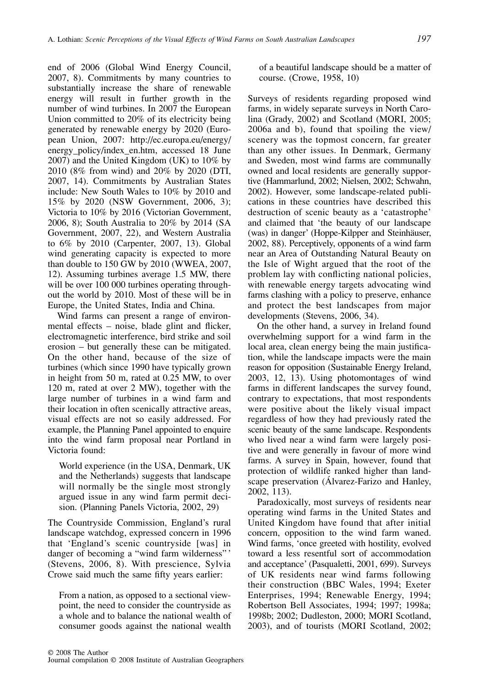end of 2006 (Global Wind Energy Council, 2007, 8). Commitments by many countries to substantially increase the share of renewable energy will result in further growth in the number of wind turbines. In 2007 the European Union committed to 20% of its electricity being generated by renewable energy by 2020 (Euro[pean Union, 2007: http://ec.europa.eu/energy/](http://ec.europa.eu/energy/energy_policy/index_en.htm) energy policy/index en.htm, accessed 18 June 2007) and the United Kingdom (UK) to 10% by 2010 (8% from wind) and 20% by 2020 (DTI, 2007, 14). Commitments by Australian States include: New South Wales to 10% by 2010 and 15% by 2020 (NSW Government, 2006, 3); Victoria to 10% by 2016 (Victorian Government, 2006, 8); South Australia to 20% by 2014 (SA Government, 2007, 22), and Western Australia to 6% by 2010 (Carpenter, 2007, 13). Global wind generating capacity is expected to more than double to 150 GW by 2010 (WWEA, 2007, 12). Assuming turbines average 1.5 MW, there will be over 100 000 turbines operating throughout the world by 2010. Most of these will be in Europe, the United States, India and China.

Wind farms can present a range of environmental effects – noise, blade glint and flicker, electromagnetic interference, bird strike and soil erosion – but generally these can be mitigated. On the other hand, because of the size of turbines (which since 1990 have typically grown in height from 50 m, rated at 0.25 MW, to over 120 m, rated at over 2 MW), together with the large number of turbines in a wind farm and their location in often scenically attractive areas, visual effects are not so easily addressed. For example, the Planning Panel appointed to enquire into the wind farm proposal near Portland in Victoria found:

World experience (in the USA, Denmark, UK and the Netherlands) suggests that landscape will normally be the single most strongly argued issue in any wind farm permit decision. (Planning Panels Victoria, 2002, 29)

The Countryside Commission, England's rural landscape watchdog, expressed concern in 1996 that 'England's scenic countryside [was] in danger of becoming a "wind farm wilderness" ' (Stevens, 2006, 8). With prescience, Sylvia Crowe said much the same fifty years earlier:

From a nation, as opposed to a sectional viewpoint, the need to consider the countryside as a whole and to balance the national wealth of consumer goods against the national wealth of a beautiful landscape should be a matter of course. (Crowe, 1958, 10)

Surveys of residents regarding proposed wind farms, in widely separate surveys in North Carolina (Grady, 2002) and Scotland (MORI, 2005; 2006a and b), found that spoiling the view/ scenery was the topmost concern, far greater than any other issues. In Denmark, Germany and Sweden, most wind farms are communally owned and local residents are generally supportive (Hammarlund, 2002; Nielsen, 2002; Schwahn, 2002). However, some landscape-related publications in these countries have described this destruction of scenic beauty as a 'catastrophe' and claimed that 'the beauty of our landscape (was) in danger' (Hoppe-Kilpper and Steinhäuser, 2002, 88). Perceptively, opponents of a wind farm near an Area of Outstanding Natural Beauty on the Isle of Wight argued that the root of the problem lay with conflicting national policies, with renewable energy targets advocating wind farms clashing with a policy to preserve, enhance and protect the best landscapes from major developments (Stevens, 2006, 34).

On the other hand, a survey in Ireland found overwhelming support for a wind farm in the local area, clean energy being the main justification, while the landscape impacts were the main reason for opposition (Sustainable Energy Ireland, 2003, 12, 13). Using photomontages of wind farms in different landscapes the survey found, contrary to expectations, that most respondents were positive about the likely visual impact regardless of how they had previously rated the scenic beauty of the same landscape. Respondents who lived near a wind farm were largely positive and were generally in favour of more wind farms. A survey in Spain, however, found that protection of wildlife ranked higher than landscape preservation (Álvarez-Farizo and Hanley, 2002, 113).

Paradoxically, most surveys of residents near operating wind farms in the United States and United Kingdom have found that after initial concern, opposition to the wind farm waned. Wind farms, 'once greeted with hostility, evolved toward a less resentful sort of accommodation and acceptance' (Pasqualetti, 2001, 699). Surveys of UK residents near wind farms following their construction (BBC Wales, 1994; Exeter Enterprises, 1994; Renewable Energy, 1994; Robertson Bell Associates, 1994; 1997; 1998a; 1998b; 2002; Dudleston, 2000; MORI Scotland, 2003), and of tourists (MORI Scotland, 2002;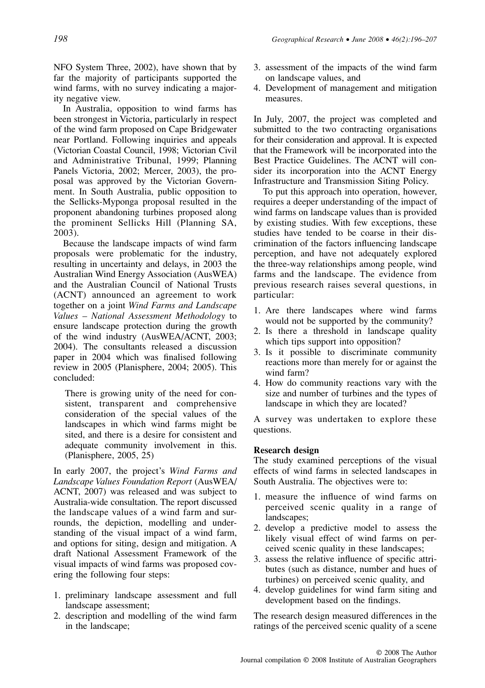NFO System Three, 2002), have shown that by far the majority of participants supported the wind farms, with no survey indicating a majority negative view.

In Australia, opposition to wind farms has been strongest in Victoria, particularly in respect of the wind farm proposed on Cape Bridgewater near Portland. Following inquiries and appeals (Victorian Coastal Council, 1998; Victorian Civil and Administrative Tribunal, 1999; Planning Panels Victoria, 2002; Mercer, 2003), the proposal was approved by the Victorian Government. In South Australia, public opposition to the Sellicks-Myponga proposal resulted in the proponent abandoning turbines proposed along the prominent Sellicks Hill (Planning SA, 2003).

Because the landscape impacts of wind farm proposals were problematic for the industry, resulting in uncertainty and delays, in 2003 the Australian Wind Energy Association (AusWEA) and the Australian Council of National Trusts (ACNT) announced an agreement to work together on a joint *Wind Farms and Landscape Values – National Assessment Methodology* to ensure landscape protection during the growth of the wind industry (AusWEA/ACNT, 2003; 2004). The consultants released a discussion paper in 2004 which was finalised following review in 2005 (Planisphere, 2004; 2005). This concluded:

There is growing unity of the need for consistent, transparent and comprehensive consideration of the special values of the landscapes in which wind farms might be sited, and there is a desire for consistent and adequate community involvement in this. (Planisphere, 2005, 25)

In early 2007, the project's *Wind Farms and Landscape Values Foundation Report* (AusWEA/ ACNT, 2007) was released and was subject to Australia-wide consultation. The report discussed the landscape values of a wind farm and surrounds, the depiction, modelling and understanding of the visual impact of a wind farm, and options for siting, design and mitigation. A draft National Assessment Framework of the visual impacts of wind farms was proposed covering the following four steps:

- 1. preliminary landscape assessment and full landscape assessment;
- 2. description and modelling of the wind farm in the landscape;
- 3. assessment of the impacts of the wind farm on landscape values, and
- 4. Development of management and mitigation measures.

In July, 2007, the project was completed and submitted to the two contracting organisations for their consideration and approval. It is expected that the Framework will be incorporated into the Best Practice Guidelines. The ACNT will consider its incorporation into the ACNT Energy Infrastructure and Transmission Siting Policy.

To put this approach into operation, however, requires a deeper understanding of the impact of wind farms on landscape values than is provided by existing studies. With few exceptions, these studies have tended to be coarse in their discrimination of the factors influencing landscape perception, and have not adequately explored the three-way relationships among people, wind farms and the landscape. The evidence from previous research raises several questions, in particular:

- 1. Are there landscapes where wind farms would not be supported by the community?
- 2. Is there a threshold in landscape quality which tips support into opposition?
- 3. Is it possible to discriminate community reactions more than merely for or against the wind farm?
- 4. How do community reactions vary with the size and number of turbines and the types of landscape in which they are located?

A survey was undertaken to explore these questions.

# **Research design**

The study examined perceptions of the visual effects of wind farms in selected landscapes in South Australia. The objectives were to:

- 1. measure the influence of wind farms on perceived scenic quality in a range of landscapes;
- 2. develop a predictive model to assess the likely visual effect of wind farms on perceived scenic quality in these landscapes;
- 3. assess the relative influence of specific attributes (such as distance, number and hues of turbines) on perceived scenic quality, and
- 4. develop guidelines for wind farm siting and development based on the findings.

The research design measured differences in the ratings of the perceived scenic quality of a scene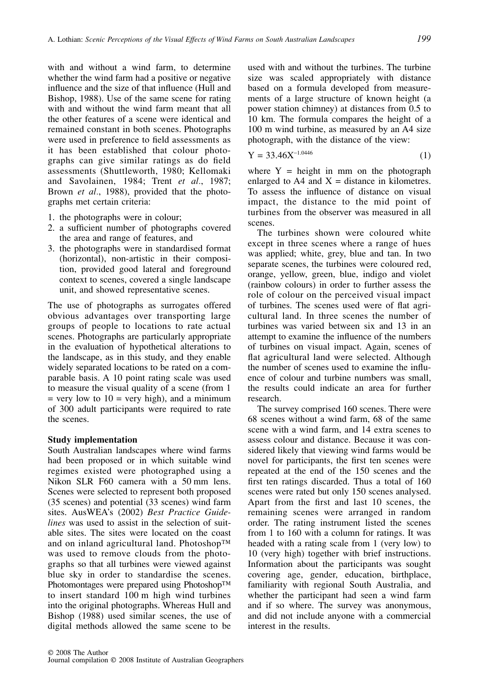with and without a wind farm, to determine whether the wind farm had a positive or negative influence and the size of that influence (Hull and Bishop, 1988). Use of the same scene for rating with and without the wind farm meant that all the other features of a scene were identical and remained constant in both scenes. Photographs were used in preference to field assessments as it has been established that colour photographs can give similar ratings as do field assessments (Shuttleworth, 1980; Kellomaki and Savolainen, 1984; Trent *et al.*, 1987; Brown *et al.*, 1988), provided that the photographs met certain criteria:

- 1. the photographs were in colour;
- 2. a sufficient number of photographs covered the area and range of features, and
- 3. the photographs were in standardised format (horizontal), non-artistic in their composition, provided good lateral and foreground context to scenes, covered a single landscape unit, and showed representative scenes.

The use of photographs as surrogates offered obvious advantages over transporting large groups of people to locations to rate actual scenes. Photographs are particularly appropriate in the evaluation of hypothetical alterations to the landscape, as in this study, and they enable widely separated locations to be rated on a comparable basis. A 10 point rating scale was used to measure the visual quality of a scene (from 1  $=$  very low to 10  $=$  very high), and a minimum of 300 adult participants were required to rate the scenes.

# **Study implementation**

South Australian landscapes where wind farms had been proposed or in which suitable wind regimes existed were photographed using a Nikon SLR F60 camera with a 50 mm lens. Scenes were selected to represent both proposed (35 scenes) and potential (33 scenes) wind farm sites. AusWEA's (2002) *Best Practice Guidelines* was used to assist in the selection of suitable sites. The sites were located on the coast and on inland agricultural land. Photoshop™ was used to remove clouds from the photographs so that all turbines were viewed against blue sky in order to standardise the scenes. Photomontages were prepared using Photoshop™ to insert standard 100 m high wind turbines into the original photographs. Whereas Hull and Bishop (1988) used similar scenes, the use of digital methods allowed the same scene to be

used with and without the turbines. The turbine size was scaled appropriately with distance based on a formula developed from measurements of a large structure of known height (a power station chimney) at distances from 0.5 to 10 km. The formula compares the height of a 100 m wind turbine, as measured by an A4 size photograph, with the distance of the view:

$$
Y = 33.46X^{-1.0446} \tag{1}
$$

where  $Y =$  height in mm on the photograph enlarged to  $A4$  and  $X =$  distance in kilometres. To assess the influence of distance on visual impact, the distance to the mid point of turbines from the observer was measured in all scenes.

The turbines shown were coloured white except in three scenes where a range of hues was applied; white, grey, blue and tan. In two separate scenes, the turbines were coloured red, orange, yellow, green, blue, indigo and violet (rainbow colours) in order to further assess the role of colour on the perceived visual impact of turbines. The scenes used were of flat agricultural land. In three scenes the number of turbines was varied between six and 13 in an attempt to examine the influence of the numbers of turbines on visual impact. Again, scenes of flat agricultural land were selected. Although the number of scenes used to examine the influence of colour and turbine numbers was small, the results could indicate an area for further research.

The survey comprised 160 scenes. There were 68 scenes without a wind farm, 68 of the same scene with a wind farm, and 14 extra scenes to assess colour and distance. Because it was considered likely that viewing wind farms would be novel for participants, the first ten scenes were repeated at the end of the 150 scenes and the first ten ratings discarded. Thus a total of 160 scenes were rated but only 150 scenes analysed. Apart from the first and last 10 scenes, the remaining scenes were arranged in random order. The rating instrument listed the scenes from 1 to 160 with a column for ratings. It was headed with a rating scale from 1 (very low) to 10 (very high) together with brief instructions. Information about the participants was sought covering age, gender, education, birthplace, familiarity with regional South Australia, and whether the participant had seen a wind farm and if so where. The survey was anonymous, and did not include anyone with a commercial interest in the results.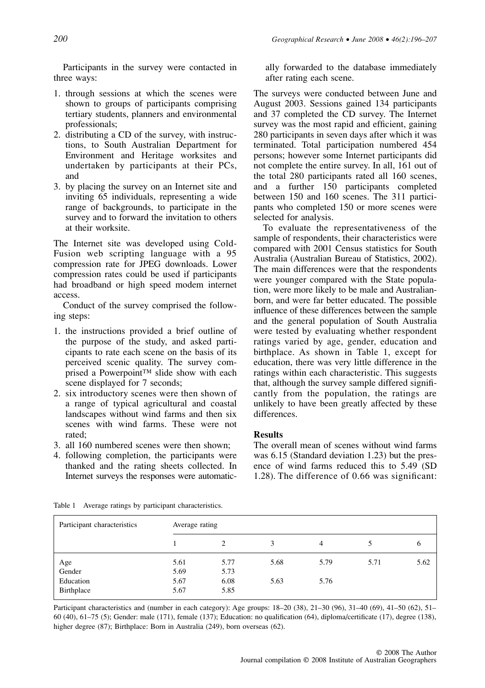Participants in the survey were contacted in three ways:

- 1. through sessions at which the scenes were shown to groups of participants comprising tertiary students, planners and environmental professionals;
- 2. distributing a CD of the survey, with instructions, to South Australian Department for Environment and Heritage worksites and undertaken by participants at their PCs, and
- 3. by placing the survey on an Internet site and inviting 65 individuals, representing a wide range of backgrounds, to participate in the survey and to forward the invitation to others at their worksite.

The Internet site was developed using Cold-Fusion web scripting language with a 95 compression rate for JPEG downloads. Lower compression rates could be used if participants had broadband or high speed modem internet access.

Conduct of the survey comprised the following steps:

- 1. the instructions provided a brief outline of the purpose of the study, and asked participants to rate each scene on the basis of its perceived scenic quality. The survey comprised a Powerpoint™ slide show with each scene displayed for 7 seconds;
- 2. six introductory scenes were then shown of a range of typical agricultural and coastal landscapes without wind farms and then six scenes with wind farms. These were not rated;
- 3. all 160 numbered scenes were then shown;
- 4. following completion, the participants were thanked and the rating sheets collected. In Internet surveys the responses were automatic-

ally forwarded to the database immediately after rating each scene.

The surveys were conducted between June and August 2003. Sessions gained 134 participants and 37 completed the CD survey. The Internet survey was the most rapid and efficient, gaining 280 participants in seven days after which it was terminated. Total participation numbered 454 persons; however some Internet participants did not complete the entire survey. In all, 161 out of the total 280 participants rated all 160 scenes, and a further 150 participants completed between 150 and 160 scenes. The 311 participants who completed 150 or more scenes were selected for analysis.

To evaluate the representativeness of the sample of respondents, their characteristics were compared with 2001 Census statistics for South Australia (Australian Bureau of Statistics, 2002). The main differences were that the respondents were younger compared with the State population, were more likely to be male and Australianborn, and were far better educated. The possible influence of these differences between the sample and the general population of South Australia were tested by evaluating whether respondent ratings varied by age, gender, education and birthplace. As shown in Table 1, except for education, there was very little difference in the ratings within each characteristic. This suggests that, although the survey sample differed significantly from the population, the ratings are unlikely to have been greatly affected by these differences.

# **Results**

The overall mean of scenes without wind farms was 6.15 (Standard deviation 1.23) but the presence of wind farms reduced this to 5.49 (SD 1.28). The difference of 0.66 was significant:

| Participant characteristics | Average rating |      |      |      |      |      |
|-----------------------------|----------------|------|------|------|------|------|
|                             |                | 2    | 3    | 4    |      | O    |
| Age                         | 5.61           | 5.77 | 5.68 | 5.79 | 5.71 | 5.62 |
| Gender                      | 5.69           | 5.73 |      |      |      |      |
| Education                   | 5.67           | 6.08 | 5.63 | 5.76 |      |      |
| Birthplace                  | 5.67           | 5.85 |      |      |      |      |

Table 1 Average ratings by participant characteristics.

Participant characteristics and (number in each category): Age groups: 18–20 (38), 21–30 (96), 31–40 (69), 41–50 (62), 51– 60 (40), 61–75 (5); Gender: male (171), female (137); Education: no qualification (64), diploma/certificate (17), degree (138), higher degree (87); Birthplace: Born in Australia (249), born overseas (62).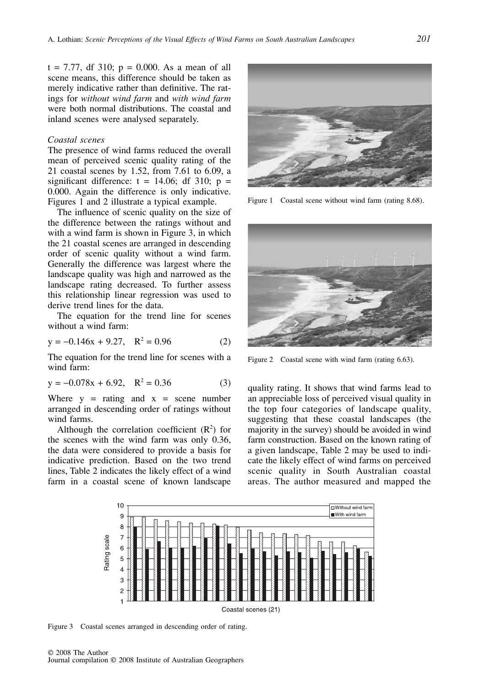$t = 7.77$ , df 310;  $p = 0.000$ . As a mean of all scene means, this difference should be taken as merely indicative rather than definitive. The ratings for *without wind farm* and *with wind farm* were both normal distributions. The coastal and inland scenes were analysed separately.

## *Coastal scenes*

The presence of wind farms reduced the overall mean of perceived scenic quality rating of the 21 coastal scenes by 1.52, from 7.61 to 6.09, a significant difference:  $t = 14.06$ ; df 310;  $p =$ 0.000. Again the difference is only indicative. Figures 1 and 2 illustrate a typical example.

The influence of scenic quality on the size of the difference between the ratings without and with a wind farm is shown in Figure 3, in which the 21 coastal scenes are arranged in descending order of scenic quality without a wind farm. Generally the difference was largest where the landscape quality was high and narrowed as the landscape rating decreased. To further assess this relationship linear regression was used to derive trend lines for the data.

The equation for the trend line for scenes without a wind farm:

$$
y = -0.146x + 9.27, \quad R^2 = 0.96 \tag{2}
$$

The equation for the trend line for scenes with a wind farm:

$$
y = -0.078x + 6.92, R^2 = 0.36
$$
 (3)

Where  $y = \text{rating}$  and  $x = \text{scene}$  number arranged in descending order of ratings without wind farms.

Although the correlation coefficient  $(R^2)$  for the scenes with the wind farm was only 0.36, the data were considered to provide a basis for indicative prediction. Based on the two trend lines, Table 2 indicates the likely effect of a wind farm in a coastal scene of known landscape



Figure 1 Coastal scene without wind farm (rating 8.68).



Figure 2 Coastal scene with wind farm (rating 6.63).

quality rating. It shows that wind farms lead to an appreciable loss of perceived visual quality in the top four categories of landscape quality, suggesting that these coastal landscapes (the majority in the survey) should be avoided in wind farm construction. Based on the known rating of a given landscape, Table 2 may be used to indicate the likely effect of wind farms on perceived scenic quality in South Australian coastal areas. The author measured and mapped the



Figure 3 Coastal scenes arranged in descending order of rating.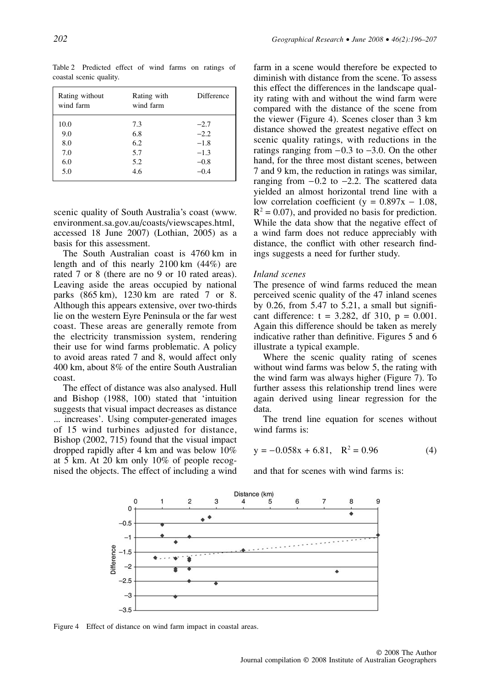| Rating without<br>wind farm | Rating with<br>wind farm | Difference |
|-----------------------------|--------------------------|------------|
| 10.0                        | 7.3                      | $-2.7$     |
| 9.0                         | 6.8                      | $-2.2$     |
| 8.0                         | 6.2                      | $-1.8$     |
| 7.0                         | 5.7                      | $-1.3$     |
| 6.0                         | 5.2                      | $-0.8$     |
| 5.0                         | 4.6                      | $-0.4$     |
|                             |                          |            |

Table 2 Predicted effect of wind farms on ratings of coastal scenic quality.

[scenic quality of South Australia's coast \(www.](www.environment.sa.gov.au/coasts/viewscapes.html) environment.sa.gov.au/coasts/viewscapes.html, accessed 18 June 2007) (Lothian, 2005) as a basis for this assessment.

The South Australian coast is 4760 km in length and of this nearly 2100 km (44%) are rated 7 or 8 (there are no 9 or 10 rated areas). Leaving aside the areas occupied by national parks (865 km), 1230 km are rated 7 or 8. Although this appears extensive, over two-thirds lie on the western Eyre Peninsula or the far west coast. These areas are generally remote from the electricity transmission system, rendering their use for wind farms problematic. A policy to avoid areas rated 7 and 8, would affect only 400 km, about 8% of the entire South Australian coast.

The effect of distance was also analysed. Hull and Bishop (1988, 100) stated that 'intuition suggests that visual impact decreases as distance ... increases'. Using computer-generated images of 15 wind turbines adjusted for distance, Bishop (2002, 715) found that the visual impact dropped rapidly after 4 km and was below 10% at 5 km. At 20 km only 10% of people recognised the objects. The effect of including a wind farm in a scene would therefore be expected to diminish with distance from the scene. To assess this effect the differences in the landscape quality rating with and without the wind farm were compared with the distance of the scene from the viewer (Figure 4). Scenes closer than 3 km distance showed the greatest negative effect on scenic quality ratings, with reductions in the ratings ranging from  $-0.3$  to  $-3.0$ . On the other hand, for the three most distant scenes, between 7 and 9 km, the reduction in ratings was similar, ranging from  $-0.2$  to  $-2.2$ . The scattered data yielded an almost horizontal trend line with a low correlation coefficient (y =  $0.897x - 1.08$ ,  $R^2 = 0.07$ ), and provided no basis for prediction. While the data show that the negative effect of a wind farm does not reduce appreciably with distance, the conflict with other research findings suggests a need for further study.

#### *Inland scenes*

The presence of wind farms reduced the mean perceived scenic quality of the 47 inland scenes by  $0.26$ , from  $5.47$  to  $5.21$ , a small but significant difference:  $t = 3.282$ , df 310,  $p = 0.001$ . Again this difference should be taken as merely indicative rather than definitive. Figures 5 and 6 illustrate a typical example.

Where the scenic quality rating of scenes without wind farms was below 5, the rating with the wind farm was always higher (Figure 7). To further assess this relationship trend lines were again derived using linear regression for the data.

The trend line equation for scenes without wind farms is:

$$
y = -0.058x + 6.81, \quad R^2 = 0.96 \tag{4}
$$

and that for scenes with wind farms is:



Figure 4 Effect of distance on wind farm impact in coastal areas.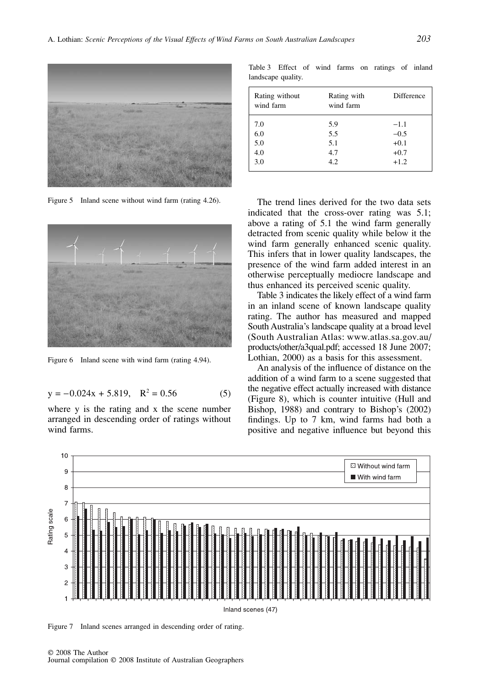

Figure 5 Inland scene without wind farm (rating 4.26).



Figure 6 Inland scene with wind farm (rating 4.94).

$$
y = -0.024x + 5.819, R2 = 0.56
$$
 (5)

where y is the rating and x the scene number arranged in descending order of ratings without wind farms.

Table 3 Effect of wind farms on ratings of inland landscape quality.

| Rating without<br>wind farm | Rating with<br>wind farm | <b>Difference</b> |
|-----------------------------|--------------------------|-------------------|
| 7.0                         | 5.9                      | $-1.1$            |
| 6.0                         | 5.5                      | $-0.5$            |
| 5.0                         | 5.1                      | $+0.1$            |
| 4.0                         | 4.7                      | $+0.7$            |
| 3.0                         | 4.2                      | $+1.2$            |
|                             |                          |                   |

The trend lines derived for the two data sets indicated that the cross-over rating was 5.1; above a rating of 5.1 the wind farm generally detracted from scenic quality while below it the wind farm generally enhanced scenic quality. This infers that in lower quality landscapes, the presence of the wind farm added interest in an otherwise perceptually mediocre landscape and thus enhanced its perceived scenic quality.

Table 3 indicates the likely effect of a wind farm in an inland scene of known landscape quality rating. The author has measured and mapped South Australia's landscape quality at a broad level (South Australian Atlas: www.atlas.sa.gov.au/ [products/other/a3qual.pdf; accessed 18 June 2007;](www.atlas.sa.gov.au/products/other/a3qual.pdf) Lothian, 2000) as a basis for this assessment.

An analysis of the influence of distance on the addition of a wind farm to a scene suggested that the negative effect actually increased with distance (Figure 8), which is counter intuitive (Hull and Bishop, 1988) and contrary to Bishop's (2002) findings. Up to 7 km, wind farms had both a positive and negative influence but beyond this



Figure 7 Inland scenes arranged in descending order of rating.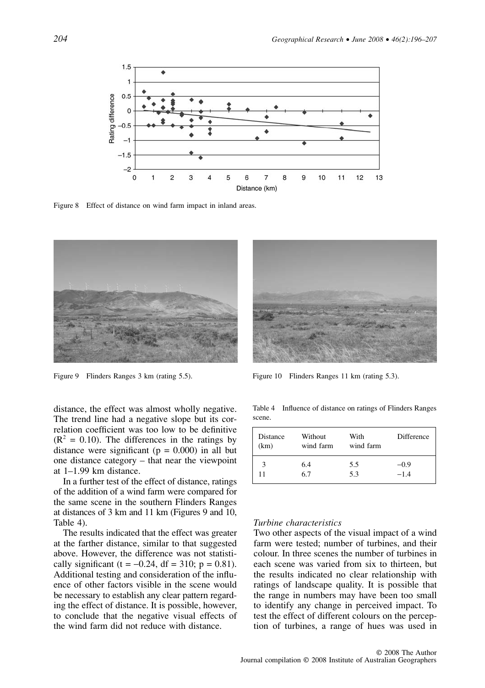

Figure 8 Effect of distance on wind farm impact in inland areas.



distance, the effect was almost wholly negative. The trend line had a negative slope but its correlation coefficient was too low to be definitive  $(R<sup>2</sup> = 0.10)$ . The differences in the ratings by distance were significant ( $p = 0.000$ ) in all but one distance category – that near the viewpoint at 1–1.99 km distance.

In a further test of the effect of distance, ratings of the addition of a wind farm were compared for the same scene in the southern Flinders Ranges at distances of 3 km and 11 km (Figures 9 and 10, Table 4).

The results indicated that the effect was greater at the farther distance, similar to that suggested above. However, the difference was not statistically significant (t =  $-0.24$ , df = 310; p = 0.81). Additional testing and consideration of the influence of other factors visible in the scene would be necessary to establish any clear pattern regarding the effect of distance. It is possible, however, to conclude that the negative visual effects of the wind farm did not reduce with distance.



Figure 9 Flinders Ranges 3 km (rating 5.5). Figure 10 Flinders Ranges 11 km (rating 5.3).

Table 4 Influence of distance on ratings of Flinders Ranges scene.

| Distance | Without   | With      | Difference |
|----------|-----------|-----------|------------|
| (km)     | wind farm | wind farm |            |
| 3        | 6.4       | 5.5       | $-0.9$     |
| 11       | 67        | 5.3       | $-1.4$     |

#### *Turbine characteristics*

Two other aspects of the visual impact of a wind farm were tested; number of turbines, and their colour. In three scenes the number of turbines in each scene was varied from six to thirteen, but the results indicated no clear relationship with ratings of landscape quality. It is possible that the range in numbers may have been too small to identify any change in perceived impact. To test the effect of different colours on the perception of turbines, a range of hues was used in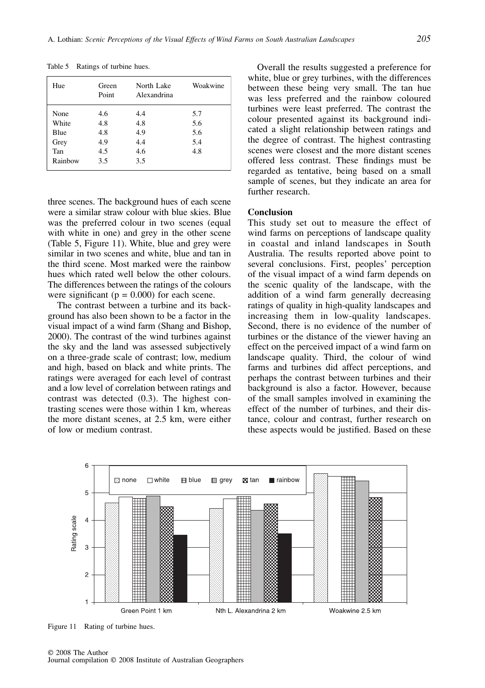| Hue     | Green<br>Point | North Lake<br>Alexandrina | Woakwine |
|---------|----------------|---------------------------|----------|
| None    | 4.6            | 4.4                       | 5.7      |
| White   | 4.8            | 4.8                       | 5.6      |
| Blue    | 4.8            | 4.9                       | 5.6      |
| Grey    | 4.9            | 4.4                       | 5.4      |
| Tan     | 4.5            | 4.6                       | 4.8      |
| Rainbow | 3.5            | 3.5                       |          |

Table 5 Ratings of turbine hues.

three scenes. The background hues of each scene were a similar straw colour with blue skies. Blue was the preferred colour in two scenes (equal with white in one) and grey in the other scene (Table 5, Figure 11). White, blue and grey were similar in two scenes and white, blue and tan in the third scene. Most marked were the rainbow hues which rated well below the other colours. The differences between the ratings of the colours were significant ( $p = 0.000$ ) for each scene.

The contrast between a turbine and its background has also been shown to be a factor in the visual impact of a wind farm (Shang and Bishop, 2000). The contrast of the wind turbines against the sky and the land was assessed subjectively on a three-grade scale of contrast; low, medium and high, based on black and white prints. The ratings were averaged for each level of contrast and a low level of correlation between ratings and contrast was detected (0.3). The highest contrasting scenes were those within 1 km, whereas the more distant scenes, at 2.5 km, were either of low or medium contrast.

Overall the results suggested a preference for white, blue or grey turbines, with the differences between these being very small. The tan hue was less preferred and the rainbow coloured turbines were least preferred. The contrast the colour presented against its background indicated a slight relationship between ratings and the degree of contrast. The highest contrasting scenes were closest and the more distant scenes offered less contrast. These findings must be regarded as tentative, being based on a small sample of scenes, but they indicate an area for further research.

# **Conclusion**

This study set out to measure the effect of wind farms on perceptions of landscape quality in coastal and inland landscapes in South Australia. The results reported above point to several conclusions. First, peoples' perception of the visual impact of a wind farm depends on the scenic quality of the landscape, with the addition of a wind farm generally decreasing ratings of quality in high-quality landscapes and increasing them in low-quality landscapes. Second, there is no evidence of the number of turbines or the distance of the viewer having an effect on the perceived impact of a wind farm on landscape quality. Third, the colour of wind farms and turbines did affect perceptions, and perhaps the contrast between turbines and their background is also a factor. However, because of the small samples involved in examining the effect of the number of turbines, and their distance, colour and contrast, further research on these aspects would be justified. Based on these



Figure 11 Rating of turbine hues.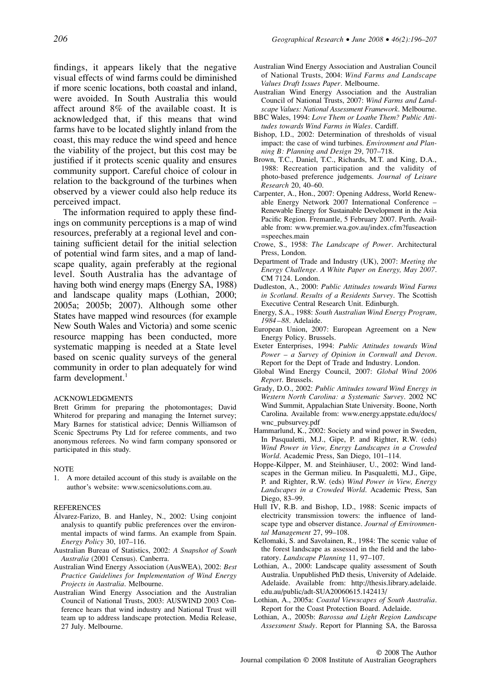findings, it appears likely that the negative visual effects of wind farms could be diminished if more scenic locations, both coastal and inland, were avoided. In South Australia this would affect around 8% of the available coast. It is acknowledged that, if this means that wind farms have to be located slightly inland from the coast, this may reduce the wind speed and hence the viability of the project, but this cost may be justified if it protects scenic quality and ensures community support. Careful choice of colour in relation to the background of the turbines when observed by a viewer could also help reduce its perceived impact.

The information required to apply these findings on community perceptions is a map of wind resources, preferably at a regional level and containing sufficient detail for the initial selection of potential wind farm sites, and a map of landscape quality, again preferably at the regional level. South Australia has the advantage of having both wind energy maps (Energy SA, 1988) and landscape quality maps (Lothian, 2000; 2005a; 2005b; 2007). Although some other States have mapped wind resources (for example New South Wales and Victoria) and some scenic resource mapping has been conducted, more systematic mapping is needed at a State level based on scenic quality surveys of the general community in order to plan adequately for wind farm development. $<sup>1</sup>$ </sup>

#### ACKNOWLEDGMENTS

Brett Grimm for preparing the photomontages; David Whiterod for preparing and managing the Internet survey; Mary Barnes for statistical advice; Dennis Williamson of Scenic Spectrums Pty Ltd for referee comments, and two anonymous referees. No wind farm company sponsored or participated in this study.

#### **NOTE**

1. A more detailed account of this study is available on the author's website: [www.scenicsolutions.com.au.](www.scenicsolutions.com.au)

#### **REFERENCES**

- Álvarez-Farizo, B. and Hanley, N., 2002: Using conjoint analysis to quantify public preferences over the environmental impacts of wind farms. An example from Spain. *Energy Policy* 30, 107–116.
- Australian Bureau of Statistics, 2002: *A Snapshot of South Australia* (2001 Census). Canberra.
- Australian Wind Energy Association (AusWEA), 2002: *Best Practice Guidelines for Implementation of Wind Energy Projects in Australia*. Melbourne.
- Australian Wind Energy Association and the Australian Council of National Trusts, 2003: AUSWIND 2003 Conference hears that wind industry and National Trust will team up to address landscape protection. Media Release, 27 July. Melbourne.
- Australian Wind Energy Association and Australian Council of National Trusts, 2004: *Wind Farms and Landscape Values Draft Issues Paper*. Melbourne.
- Australian Wind Energy Association and the Australian Council of National Trusts, 2007: *Wind Farms and Landscape Values: National Assessment Framework*. Melbourne.
- BBC Wales, 1994: *Love Them or Loathe Them? Public Attitudes towards Wind Farms in Wales*. Cardiff.
- Bishop, I.D., 2002: Determination of thresholds of visual impact: the case of wind turbines. *Environment and Planning B: Planning and Design* 29, 707–718.
- Brown, T.C., Daniel, T.C., Richards, M.T. and King, D.A., 1988: Recreation participation and the validity of photo-based preference judgements. *Journal of Leisure Research* 20, 40–60.
- Carpenter, A., Hon., 2007: Opening Address, World Renewable Energy Network 2007 International Conference – Renewable Energy for Sustainable Development in the Asia Pacific Region. Fremantle, 5 February 2007. Perth. Avail[able from: www.premier.wa.gov.au/index.cfm?fuseaction](www.premier.wa.gov.au/index.cfm?fuseaction=speeches.main) =speeches.main
- Crowe, S., 1958: *The Landscape of Power*. Architectural Press, London.
- Department of Trade and Industry (UK), 2007: *Meeting the Energy Challenge. A White Paper on Energy, May 2007*. CM 7124. London.
- Dudleston, A., 2000: *Public Attitudes towards Wind Farms in Scotland. Results of a Residents Survey*. The Scottish Executive Central Research Unit. Edinburgh.
- Energy, S.A., 1988: *South Australian Wind Energy Program, 1984–88*. Adelaide.
- European Union, 2007: European Agreement on a New Energy Policy. Brussels.
- Exeter Enterprises, 1994: *Public Attitudes towards Wind Power – a Survey of Opinion in Cornwall and Devon*. Report for the Dept of Trade and Industry. London.
- Global Wind Energy Council, 2007: *Global Wind 2006 Report*. Brussels.
- Grady, D.O., 2002: *Public Attitudes toward Wind Energy in Western North Carolina: a Systematic Survey*. 2002 NC Wind Summit, Appalachian State University. Boone, North [Carolina. Available from: www.energy.appstate.edu/docs/](www.energy.appstate.edu/docs/wnc_pubsurvey.pdf) wnc\_pubsurvey.pdf
- Hammarlund, K., 2002: Society and wind power in Sweden, In Pasqualetti, M.J., Gipe, P. and Righter, R.W. (eds) *Wind Power in View, Energy Landscapes in a Crowded World*. Academic Press, San Diego, 101–114.
- Hoppe-Kilpper, M. and Steinhäuser, U., 2002: Wind landscapes in the German milieu. In Pasqualetti, M.J., Gipe, P. and Righter, R.W. (eds) *Wind Power in View, Energy Landscapes in a Crowded World*. Academic Press, San Diego, 83–99.
- Hull IV, R.B. and Bishop, I.D., 1988: Scenic impacts of electricity transmission towers: the influence of landscape type and observer distance. *Journal of Environmental Management* 27, 99–108.
- Kellomaki, S. and Savolainen, R., 1984: The scenic value of the forest landscape as assessed in the field and the laboratory. *Landscape Planning* 11, 97–107.
- Lothian, A., 2000: Landscape quality assessment of South Australia. Unpublished PhD thesis, University of Adelaide. [Adelaide. Available from: http://thesis.library.adelaide.](http://thesis.library.adelaide.edu.au/public/adt-SUA20060615.142413/) edu.au/public/adt-SUA20060615.142413/
- Lothian, A., 2005a: *Coastal Viewscapes of South Australia*. Report for the Coast Protection Board. Adelaide.
- Lothian, A., 2005b: *Barossa and Light Region Landscape Assessment Study*. Report for Planning SA, the Barossa